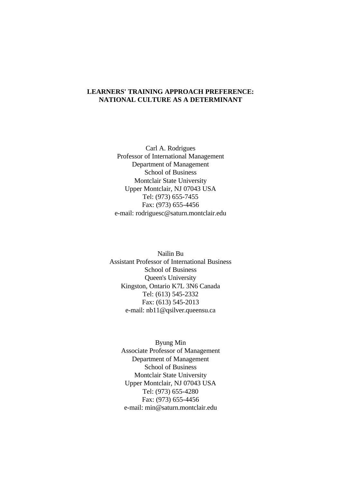## **LEARNERS' TRAINING APPROACH PREFERENCE: NATIONAL CULTURE AS A DETERMINANT**

Carl A. Rodrigues Professor of International Management Department of Management School of Business Montclair State University Upper Montclair, NJ 07043 USA Tel: (973) 655-7455 Fax: (973) 655-4456 e-mail: rodriguesc@saturn.montclair.edu

Nailin Bu Assistant Professor of International Business School of Business Queen's University Kingston, Ontario K7L 3N6 Canada Tel: (613) 545-2332 Fax: (613) 545-2013 e-mail: nb11@qsilver.queensu.ca

Byung Min Associate Professor of Management Department of Management School of Business Montclair State University Upper Montclair, NJ 07043 USA Tel: (973) 655-4280 Fax: (973) 655-4456 e-mail: min@saturn.montclair.edu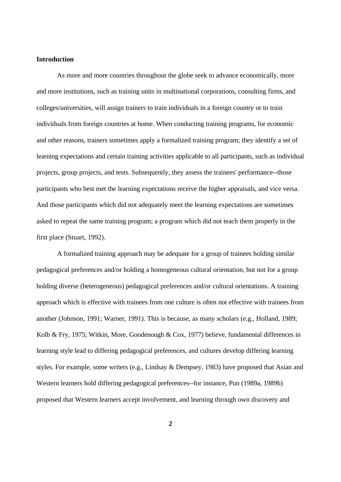#### **Introduction**

As more and more countries throughout the globe seek to advance economically, more and more institutions, such as training units in multinational corporations, consulting firms, and colleges/universities, will assign trainers to train individuals in a foreign country or to train individuals from foreign countries at home. When conducting training programs, for economic and other reasons, trainers sometimes apply a formalized training program; they identify a set of learning expectations and certain training activities applicable to all participants, such as individual projects, group projects, and tests. Subsequently, they assess the trainees' performance--those participants who best met the learning expectations receive the higher appraisals, and vice versa. And those participants which did not adequately meet the learning expectations are sometimes asked to repeat the same training program; a program which did not teach them properly in the first place (Stuart, 1992).

A formalized training approach may be adequate for a group of trainees holding similar pedagogical preferences and/or holding a homogeneous cultural orientation, but not for a group holding diverse (heterogeneous) pedagogical preferences and/or cultural orientations. A training approach which is effective with trainees from one culture is often not effective with trainees from another (Johnson, 1991; Warner, 1991). This is because, as many scholars (e.g., Holland, 1989; Kolb & Fry, 1975; Witkin, More, Goodenough & Cox, 1977) believe, fundamental differences in learning style lead to differing pedagogical preferences, and cultures develop differing learning styles. For example, some writers (e.g., Lindsay & Dempsey, 1983) have proposed that Asian and Western learners hold differing pedagogical preferences--for instance, Pun (1989a, 1989b) proposed that Western learners accept involvement, and learning through own discovery and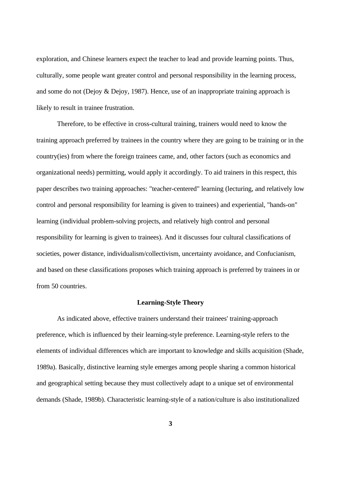exploration, and Chinese learners expect the teacher to lead and provide learning points. Thus, culturally, some people want greater control and personal responsibility in the learning process, and some do not (Dejoy & Dejoy, 1987). Hence, use of an inappropriate training approach is likely to result in trainee frustration.

Therefore, to be effective in cross-cultural training, trainers would need to know the training approach preferred by trainees in the country where they are going to be training or in the country(ies) from where the foreign trainees came, and, other factors (such as economics and organizational needs) permitting, would apply it accordingly. To aid trainers in this respect, this paper describes two training approaches: "teacher-centered" learning (lecturing, and relatively low control and personal responsibility for learning is given to trainees) and experiential, "hands-on" learning (individual problem-solving projects, and relatively high control and personal responsibility for learning is given to trainees). And it discusses four cultural classifications of societies, power distance, individualism/collectivism, uncertainty avoidance, and Confucianism, and based on these classifications proposes which training approach is preferred by trainees in or from 50 countries.

#### **Learning-Style Theory**

As indicated above, effective trainers understand their trainees' training-approach preference, which is influenced by their learning-style preference. Learning-style refers to the elements of individual differences which are important to knowledge and skills acquisition (Shade, 1989a). Basically, distinctive learning style emerges among people sharing a common historical and geographical setting because they must collectively adapt to a unique set of environmental demands (Shade, 1989b). Characteristic learning-style of a nation/culture is also institutionalized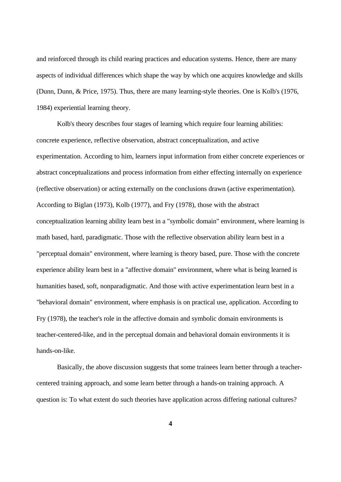and reinforced through its child rearing practices and education systems. Hence, there are many aspects of individual differences which shape the way by which one acquires knowledge and skills (Dunn, Dunn, & Price, 1975). Thus, there are many learning-style theories. One is Kolb's (1976, 1984) experiential learning theory.

Kolb's theory describes four stages of learning which require four learning abilities: concrete experience, reflective observation, abstract conceptualization, and active experimentation. According to him, learners input information from either concrete experiences or abstract conceptualizations and process information from either effecting internally on experience (reflective observation) or acting externally on the conclusions drawn (active experimentation). According to Biglan (1973), Kolb (1977), and Fry (1978), those with the abstract conceptualization learning ability learn best in a "symbolic domain" environment, where learning is math based, hard, paradigmatic. Those with the reflective observation ability learn best in a "perceptual domain" environment, where learning is theory based, pure. Those with the concrete experience ability learn best in a "affective domain" environment, where what is being learned is humanities based, soft, nonparadigmatic. And those with active experimentation learn best in a "behavioral domain" environment, where emphasis is on practical use, application. According to Fry (1978), the teacher's role in the affective domain and symbolic domain environments is teacher-centered-like, and in the perceptual domain and behavioral domain environments it is hands-on-like.

Basically, the above discussion suggests that some trainees learn better through a teachercentered training approach, and some learn better through a hands-on training approach. A question is: To what extent do such theories have application across differing national cultures?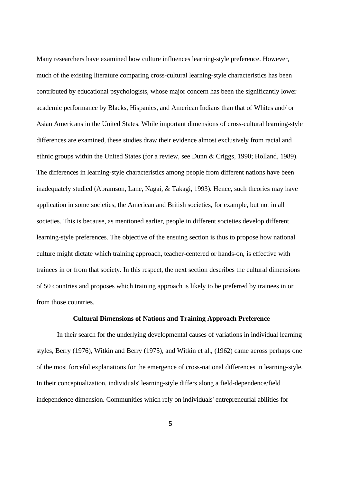Many researchers have examined how culture influences learning-style preference. However, much of the existing literature comparing cross-cultural learning-style characteristics has been contributed by educational psychologists, whose major concern has been the significantly lower academic performance by Blacks, Hispanics, and American Indians than that of Whites and/ or Asian Americans in the United States. While important dimensions of cross-cultural learning-style differences are examined, these studies draw their evidence almost exclusively from racial and ethnic groups within the United States (for a review, see Dunn & Criggs, 1990; Holland, 1989). The differences in learning-style characteristics among people from different nations have been inadequately studied (Abramson, Lane, Nagai, & Takagi, 1993). Hence, such theories may have application in some societies, the American and British societies, for example, but not in all societies. This is because, as mentioned earlier, people in different societies develop different learning-style preferences. The objective of the ensuing section is thus to propose how national culture might dictate which training approach, teacher-centered or hands-on, is effective with trainees in or from that society. In this respect, the next section describes the cultural dimensions of 50 countries and proposes which training approach is likely to be preferred by trainees in or from those countries.

## **Cultural Dimensions of Nations and Training Approach Preference**

In their search for the underlying developmental causes of variations in individual learning styles, Berry (1976), Witkin and Berry (1975), and Witkin et al., (1962) came across perhaps one of the most forceful explanations for the emergence of cross-national differences in learning-style. In their conceptualization, individuals' learning-style differs along a field-dependence/field independence dimension. Communities which rely on individuals' entrepreneurial abilities for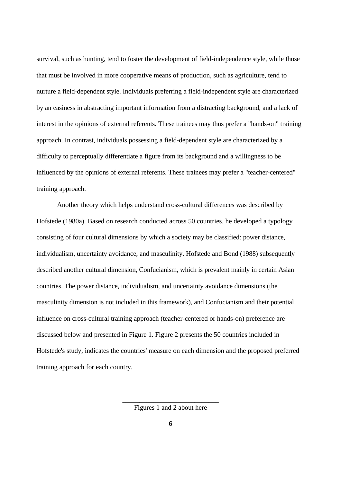survival, such as hunting, tend to foster the development of field-independence style, while those that must be involved in more cooperative means of production, such as agriculture, tend to nurture a field-dependent style. Individuals preferring a field-independent style are characterized by an easiness in abstracting important information from a distracting background, and a lack of interest in the opinions of external referents. These trainees may thus prefer a "hands-on" training approach. In contrast, individuals possessing a field-dependent style are characterized by a difficulty to perceptually differentiate a figure from its background and a willingness to be influenced by the opinions of external referents. These trainees may prefer a "teacher-centered" training approach.

Another theory which helps understand cross-cultural differences was described by Hofstede (1980a). Based on research conducted across 50 countries, he developed a typology consisting of four cultural dimensions by which a society may be classified: power distance, individualism, uncertainty avoidance, and masculinity. Hofstede and Bond (1988) subsequently described another cultural dimension, Confucianism, which is prevalent mainly in certain Asian countries. The power distance, individualism, and uncertainty avoidance dimensions (the masculinity dimension is not included in this framework), and Confucianism and their potential influence on cross-cultural training approach (teacher-centered or hands-on) preference are discussed below and presented in Figure 1. Figure 2 presents the 50 countries included in Hofstede's study, indicates the countries' measure on each dimension and the proposed preferred training approach for each country.

> \_\_\_\_\_\_\_\_\_\_\_\_\_\_\_\_\_\_\_\_\_\_\_\_\_\_\_\_ Figures 1 and 2 about here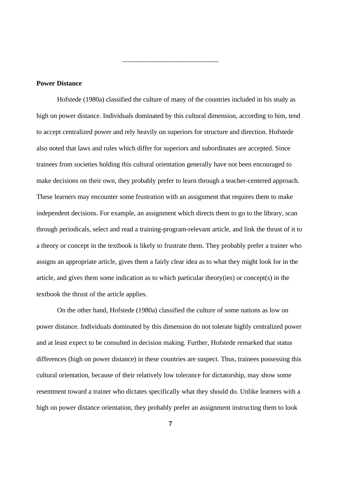#### **Power Distance**

Hofstede (1980a) classified the culture of many of the countries included in his study as high on power distance. Individuals dominated by this cultural dimension, according to him, tend to accept centralized power and rely heavily on superiors for structure and direction. Hofstede also noted that laws and rules which differ for superiors and subordinates are accepted. Since trainees from societies holding this cultural orientation generally have not been encouraged to make decisions on their own, they probably prefer to learn through a teacher-centered approach. These learners may encounter some frustration with an assignment that requires them to make independent decisions. For example, an assignment which directs them to go to the library, scan through periodicals, select and read a training-program-relevant article, and link the thrust of it to a theory or concept in the textbook is likely to frustrate them. They probably prefer a trainer who assigns an appropriate article, gives them a fairly clear idea as to what they might look for in the article, and gives them some indication as to which particular theory(ies) or concept(s) in the textbook the thrust of the article applies.

\_\_\_\_\_\_\_\_\_\_\_\_\_\_\_\_\_\_\_\_\_\_\_\_\_\_\_\_

On the other hand, Hofstede (1980a) classified the culture of some nations as low on power distance. Individuals dominated by this dimension do not tolerate highly centralized power and at least expect to be consulted in decision making. Further, Hofstede remarked that status differences (high on power distance) in these countries are suspect. Thus, trainees possessing this cultural orientation, because of their relatively low tolerance for dictatorship, may show some resentment toward a trainer who dictates specifically what they should do. Unlike learners with a high on power distance orientation, they probably prefer an assignment instructing them to look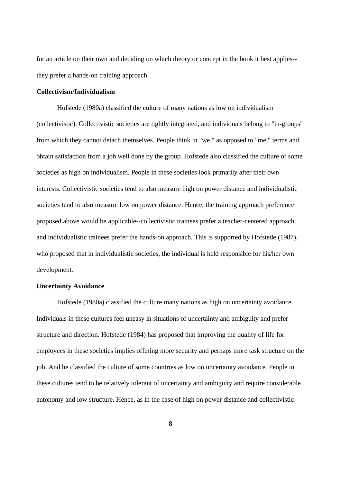for an article on their own and deciding on which theory or concept in the book it best applies- they prefer a hands-on training approach.

## **Collectivism/Individualism**

Hofstede (1980a) classified the culture of many nations as low on individualism (collectivistic). Collectivistic societies are tightly integrated, and individuals belong to "in-groups" from which they cannot detach themselves. People think in "we," as opposed to "me," terms and obtain satisfaction from a job well done by the group. Hofstede also classified the culture of some societies as high on individualism. People in these societies look primarily after their own interests. Collectivistic societies tend to also measure high on power distance and individualistic societies tend to also measure low on power distance. Hence, the training approach preference proposed above would be applicable--collectivistic trainees prefer a teacher-centered approach and individualistic trainees prefer the hands-on approach. This is supported by Hofstede (1987), who proposed that in individualistic societies, the individual is held responsible for his/her own development.

### **Uncertainty Avoidance**

Hofstede (1980a) classified the culture many nations as high on uncertainty avoidance. Individuals in these cultures feel uneasy in situations of uncertainty and ambiguity and prefer structure and direction. Hofstede (1984) has proposed that improving the quality of life for employees in these societies implies offering more security and perhaps more task structure on the job. And he classified the culture of some countries as low on uncertainty avoidance. People in these cultures tend to be relatively tolerant of uncertainty and ambiguity and require considerable autonomy and low structure. Hence, as in the case of high on power distance and collectivistic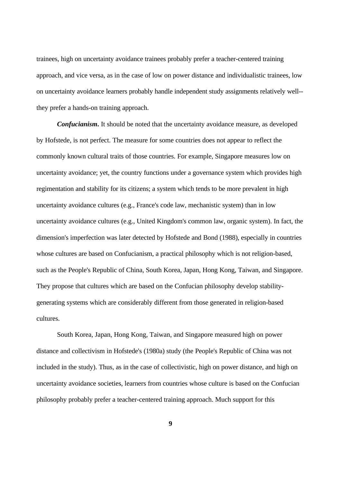trainees, high on uncertainty avoidance trainees probably prefer a teacher-centered training approach, and vice versa, as in the case of low on power distance and individualistic trainees, low on uncertainty avoidance learners probably handle independent study assignments relatively well- they prefer a hands-on training approach.

*Confucianism***.** It should be noted that the uncertainty avoidance measure, as developed by Hofstede, is not perfect. The measure for some countries does not appear to reflect the commonly known cultural traits of those countries. For example, Singapore measures low on uncertainty avoidance; yet, the country functions under a governance system which provides high regimentation and stability for its citizens; a system which tends to be more prevalent in high uncertainty avoidance cultures (e.g., France's code law, mechanistic system) than in low uncertainty avoidance cultures (e.g., United Kingdom's common law, organic system). In fact, the dimension's imperfection was later detected by Hofstede and Bond (1988), especially in countries whose cultures are based on Confucianism, a practical philosophy which is not religion-based, such as the People's Republic of China, South Korea, Japan, Hong Kong, Taiwan, and Singapore. They propose that cultures which are based on the Confucian philosophy develop stabilitygenerating systems which are considerably different from those generated in religion-based cultures.

South Korea, Japan, Hong Kong, Taiwan, and Singapore measured high on power distance and collectivism in Hofstede's (1980a) study (the People's Republic of China was not included in the study). Thus, as in the case of collectivistic, high on power distance, and high on uncertainty avoidance societies, learners from countries whose culture is based on the Confucian philosophy probably prefer a teacher-centered training approach. Much support for this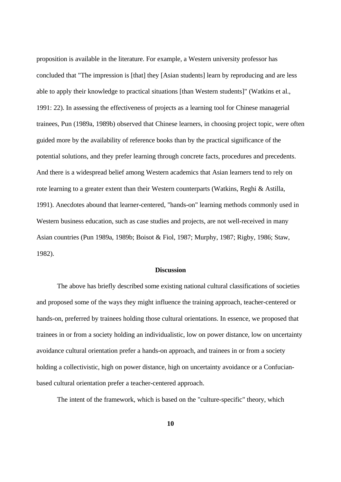proposition is available in the literature. For example, a Western university professor has concluded that "The impression is [that] they [Asian students] learn by reproducing and are less able to apply their knowledge to practical situations [than Western students]" (Watkins et al., 1991: 22). In assessing the effectiveness of projects as a learning tool for Chinese managerial trainees, Pun (1989a, 1989b) observed that Chinese learners, in choosing project topic, were often guided more by the availability of reference books than by the practical significance of the potential solutions, and they prefer learning through concrete facts, procedures and precedents. And there is a widespread belief among Western academics that Asian learners tend to rely on rote learning to a greater extent than their Western counterparts (Watkins, Reghi & Astilla, 1991). Anecdotes abound that learner-centered, "hands-on" learning methods commonly used in Western business education, such as case studies and projects, are not well-received in many Asian countries (Pun 1989a, 1989b; Boisot & Fiol, 1987; Murphy, 1987; Rigby, 1986; Staw, 1982).

#### **Discussion**

The above has briefly described some existing national cultural classifications of societies and proposed some of the ways they might influence the training approach, teacher-centered or hands-on, preferred by trainees holding those cultural orientations. In essence, we proposed that trainees in or from a society holding an individualistic, low on power distance, low on uncertainty avoidance cultural orientation prefer a hands-on approach, and trainees in or from a society holding a collectivistic, high on power distance, high on uncertainty avoidance or a Confucianbased cultural orientation prefer a teacher-centered approach.

The intent of the framework, which is based on the "culture-specific" theory, which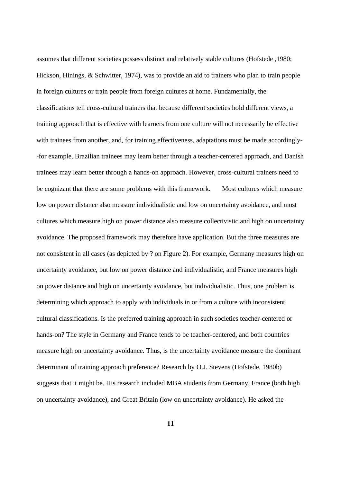assumes that different societies possess distinct and relatively stable cultures (Hofstede ,1980; Hickson, Hinings, & Schwitter, 1974), was to provide an aid to trainers who plan to train people in foreign cultures or train people from foreign cultures at home. Fundamentally, the classifications tell cross-cultural trainers that because different societies hold different views, a training approach that is effective with learners from one culture will not necessarily be effective with trainees from another, and, for training effectiveness, adaptations must be made accordingly- -for example, Brazilian trainees may learn better through a teacher-centered approach, and Danish trainees may learn better through a hands-on approach. However, cross-cultural trainers need to be cognizant that there are some problems with this framework. Most cultures which measure low on power distance also measure individualistic and low on uncertainty avoidance, and most cultures which measure high on power distance also measure collectivistic and high on uncertainty avoidance. The proposed framework may therefore have application. But the three measures are not consistent in all cases (as depicted by ? on Figure 2). For example, Germany measures high on uncertainty avoidance, but low on power distance and individualistic, and France measures high on power distance and high on uncertainty avoidance, but individualistic. Thus, one problem is determining which approach to apply with individuals in or from a culture with inconsistent cultural classifications. Is the preferred training approach in such societies teacher-centered or hands-on? The style in Germany and France tends to be teacher-centered, and both countries measure high on uncertainty avoidance. Thus, is the uncertainty avoidance measure the dominant determinant of training approach preference? Research by O.J. Stevens (Hofstede, 1980b) suggests that it might be. His research included MBA students from Germany, France (both high on uncertainty avoidance), and Great Britain (low on uncertainty avoidance). He asked the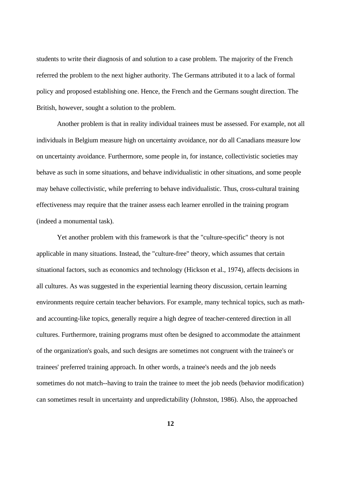students to write their diagnosis of and solution to a case problem. The majority of the French referred the problem to the next higher authority. The Germans attributed it to a lack of formal policy and proposed establishing one. Hence, the French and the Germans sought direction. The British, however, sought a solution to the problem.

Another problem is that in reality individual trainees must be assessed. For example, not all individuals in Belgium measure high on uncertainty avoidance, nor do all Canadians measure low on uncertainty avoidance. Furthermore, some people in, for instance, collectivistic societies may behave as such in some situations, and behave individualistic in other situations, and some people may behave collectivistic, while preferring to behave individualistic. Thus, cross-cultural training effectiveness may require that the trainer assess each learner enrolled in the training program (indeed a monumental task).

Yet another problem with this framework is that the "culture-specific" theory is not applicable in many situations. Instead, the "culture-free" theory, which assumes that certain situational factors, such as economics and technology (Hickson et al., 1974), affects decisions in all cultures. As was suggested in the experiential learning theory discussion, certain learning environments require certain teacher behaviors. For example, many technical topics, such as mathand accounting-like topics, generally require a high degree of teacher-centered direction in all cultures. Furthermore, training programs must often be designed to accommodate the attainment of the organization's goals, and such designs are sometimes not congruent with the trainee's or trainees' preferred training approach. In other words, a trainee's needs and the job needs sometimes do not match--having to train the trainee to meet the job needs (behavior modification) can sometimes result in uncertainty and unpredictability (Johnston, 1986). Also, the approached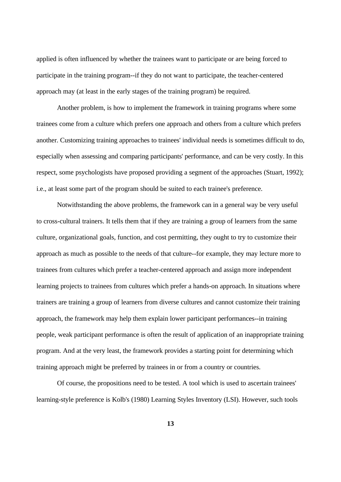applied is often influenced by whether the trainees want to participate or are being forced to participate in the training program--if they do not want to participate, the teacher-centered approach may (at least in the early stages of the training program) be required.

Another problem, is how to implement the framework in training programs where some trainees come from a culture which prefers one approach and others from a culture which prefers another. Customizing training approaches to trainees' individual needs is sometimes difficult to do, especially when assessing and comparing participants' performance, and can be very costly. In this respect, some psychologists have proposed providing a segment of the approaches (Stuart, 1992); i.e., at least some part of the program should be suited to each trainee's preference.

Notwithstanding the above problems, the framework can in a general way be very useful to cross-cultural trainers. It tells them that if they are training a group of learners from the same culture, organizational goals, function, and cost permitting, they ought to try to customize their approach as much as possible to the needs of that culture--for example, they may lecture more to trainees from cultures which prefer a teacher-centered approach and assign more independent learning projects to trainees from cultures which prefer a hands-on approach. In situations where trainers are training a group of learners from diverse cultures and cannot customize their training approach, the framework may help them explain lower participant performances--in training people, weak participant performance is often the result of application of an inappropriate training program. And at the very least, the framework provides a starting point for determining which training approach might be preferred by trainees in or from a country or countries.

Of course, the propositions need to be tested. A tool which is used to ascertain trainees' learning-style preference is Kolb's (1980) Learning Styles Inventory (LSI). However, such tools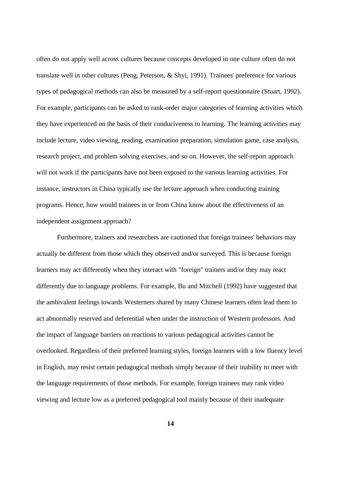often do not apply well across cultures because concepts developed in one culture often do not translate well in other cultures (Peng, Peterson, & Shyi, 1991). Trainees' preference for various types of pedagogical methods can also be measured by a self-report questionnaire (Stuart, 1992). For example, participants can be asked to rank-order major categories of learning activities which they have experienced on the basis of their conduciveness to learning. The learning activities may include lecture, video viewing, reading, examination preparation, simulation game, case analysis, research project, and problem solving exercises, and so on. However, the self-report approach will not work if the participants have not been exposed to the various learning activities. For instance, instructors in China typically use the lecture approach when conducting training programs. Hence, how would trainees in or from China know about the effectiveness of an independent assignment approach?

Furthermore, trainers and researchers are cautioned that foreign trainees' behaviors may actually be different from those which they observed and/or surveyed. This is because foreign learners may act differently when they interact with "foreign" trainers and/or they may react differently due to language problems. For example, Bu and Mitchell (1992) have suggested that the ambivalent feelings towards Westerners shared by many Chinese learners often lead them to act abnormally reserved and deferential when under the instruction of Western professors. And the impact of language barriers on reactions to various pedagogical activities cannot be overlooked. Regardless of their preferred learning styles, foreign learners with a low fluency level in English, may resist certain pedagogical methods simply because of their inability to meet with the language requirements of those methods. For example, foreign trainees may rank video viewing and lecture low as a preferred pedagogical tool mainly because of their inadequate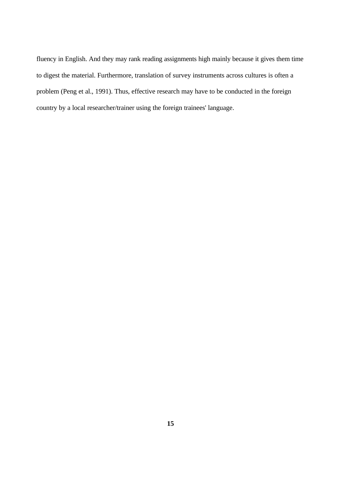fluency in English. And they may rank reading assignments high mainly because it gives them time to digest the material. Furthermore, translation of survey instruments across cultures is often a problem (Peng et al., 1991). Thus, effective research may have to be conducted in the foreign country by a local researcher/trainer using the foreign trainees' language.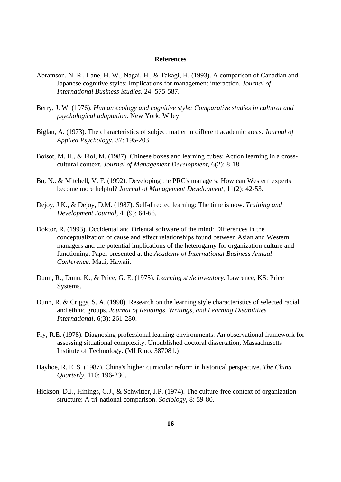#### **References**

- Abramson, N. R., Lane, H. W., Nagai, H., & Takagi, H. (1993). A comparison of Canadian and Japanese cognitive styles: Implications for management interaction. *Journal of International Business Studies*, 24: 575-587.
- Berry, J. W. (1976). *Human ecology and cognitive style: Comparative studies in cultural and psychological adaptation*. New York: Wiley.
- Biglan, A. (1973). The characteristics of subject matter in different academic areas. *Journal of Applied Psychology*, 37: 195-203.
- Boisot, M. H., & Fiol, M. (1987). Chinese boxes and learning cubes: Action learning in a crosscultural context. *Journal of Management Development*, 6(2): 8-18.
- Bu, N., & Mitchell, V. F. (1992). Developing the PRC's managers: How can Western experts become more helpful? *Journal of Management Development*, 11(2): 42-53.
- Dejoy, J.K., & Dejoy, D.M. (1987). Self-directed learning: The time is now. *Training and Development Journal*, 41(9): 64-66.
- Doktor, R. (1993). Occidental and Oriental software of the mind: Differences in the conceptualization of cause and effect relationships found between Asian and Western managers and the potential implications of the heterogamy for organization culture and functioning. Paper presented at the *Academy of International Business Annual Conference.* Maui, Hawaii.
- Dunn, R., Dunn, K., & Price, G. E. (1975). *Learning style inventory*. Lawrence, KS: Price Systems.
- Dunn, R. & Criggs, S. A. (1990). Research on the learning style characteristics of selected racial and ethnic groups. *Journal of Readings, Writings, and Learning Disabilities International*, 6(3): 261-280.
- Fry, R.E. (1978). Diagnosing professional learning environments: An observational framework for assessing situational complexity. Unpublished doctoral dissertation, Massachusetts Institute of Technology. (MLR no. 387081.)
- Hayhoe, R. E. S. (1987). China's higher curricular reform in historical perspective. *The China Quarterly*, 110: 196-230.
- Hickson, D.J., Hinings, C.J., & Schwitter, J.P. (1974). The culture-free context of organization structure: A tri-national comparison. *Sociology*, 8: 59-80.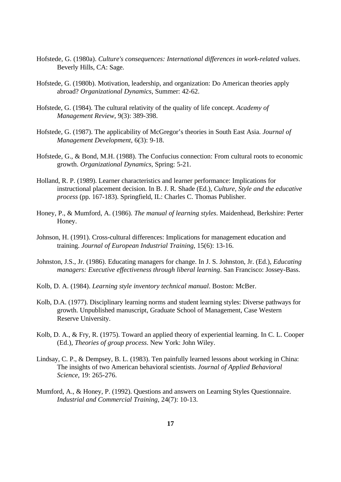- Hofstede, G. (1980a). *Culture's consequences: International differences in work-related values*. Beverly Hills, CA: Sage.
- Hofstede, G. (1980b). Motivation, leadership, and organization: Do American theories apply abroad? *Organizational Dynamics*, Summer: 42-62.
- Hofstede, G. (1984). The cultural relativity of the quality of life concept. *Academy of Management Review*, 9(3): 389-398.
- Hofstede, G. (1987). The applicability of McGregor's theories in South East Asia. *Journal of Management Development*, 6(3): 9-18.
- Hofstede, G., & Bond, M.H. (1988). The Confucius connection: From cultural roots to economic growth. *Organizational Dynamics*, Spring: 5-21.
- Holland, R. P. (1989). Learner characteristics and learner performance: Implications for instructional placement decision. In B. J. R. Shade (Ed.), *Culture, Style and the educative process* (pp. 167-183). Springfield, IL: Charles C. Thomas Publisher.
- Honey, P., & Mumford, A. (1986). *The manual of learning styles*. Maidenhead, Berkshire: Perter Honey.
- Johnson, H. (1991). Cross-cultural differences: Implications for management education and training. *Journal of European Industrial Training*, 15(6): 13-16.
- Johnston, J.S., Jr. (1986). Educating managers for change. In J. S. Johnston, Jr. (Ed.), *Educating managers: Executive effectiveness through liberal learning*. San Francisco: Jossey-Bass.
- Kolb, D. A. (1984). *Learning style inventory technical manual*. Boston: McBer.
- Kolb, D.A. (1977). Disciplinary learning norms and student learning styles: Diverse pathways for growth. Unpublished manuscript, Graduate School of Management, Case Western Reserve University.
- Kolb, D. A., & Fry, R. (1975). Toward an applied theory of experiential learning. In C. L. Cooper (Ed.), *Theories of group process*. New York: John Wiley.
- Lindsay, C. P., & Dempsey, B. L. (1983). Ten painfully learned lessons about working in China: The insights of two American behavioral scientists. *Journal of Applied Behavioral Science*, 19: 265-276.
- Mumford, A., & Honey, P. (1992). Questions and answers on Learning Styles Questionnaire. *Industrial and Commercial Training*, 24(7): 10-13.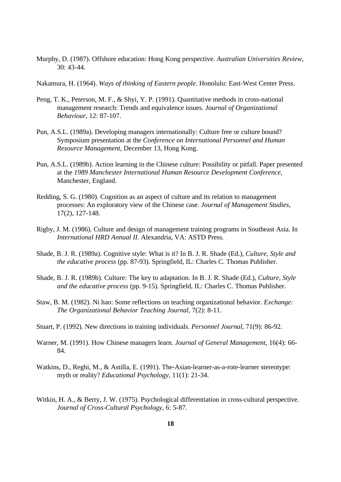- Murphy, D. (1987). Offshore education: Hong Kong perspective. *Australian Universities Review*, 30: 43-44.
- Nakamura, H. (1964). *Ways of thinking of Eastern people*. Honolulu: East-West Center Press.
- Peng, T. K., Peterson, M. F., & Shyi, Y. P. (1991). Quantitative methods in cross-national management research: Trends and equivalence issues. *Journal of Organizational Behaviour*, 12: 87-107.
- Pun, A.S.L. (1989a). Developing managers internationally: Culture free or culture bound? Symposium presentation at the *Conference on International Personnel and Human Resource Management*, December 13, Hong Kong.
- Pun, A.S.L. (1989b). Action learning in the Chinese culture: Possibility or pitfall. Paper presented at the *1989 Manchester International Human Resource Development Conference*, Manchester, England.
- Redding, S. G. (1980). Cognition as an aspect of culture and its relation to management processes: An exploratory view of the Chinese case. *Journal of Management Studies*, 17(2), 127-148.
- Rigby, J. M. (1986). Culture and design of management training programs in Southeast Asia. In *International HRD Annual II*. Alexandria, VA: ASTD Press.
- Shade, B. J. R. (1989a). Cognitive style: What is it? In B. J. R. Shade (Ed.), *Culture, Style and the educative process* (pp. 87-93). Springfield, IL: Charles C. Thomas Publisher.
- Shade, B. J. R. (1989b). Culture: The key to adaptation. In B. J. R. Shade (Ed.), *Culture, Style and the educative process* (pp. 9-15). Springfield, IL: Charles C. Thomas Publisher.
- Staw, B. M. (1982). Ni hao: Some reflections on teaching organizational behavior. *Exchange: The Organizational Behavior Teaching Journal*, 7(2): 8-11.
- Stuart, P. (1992). New directions in training individuals. *Personnel Journal*, 71(9): 86-92.
- Warner, M. (1991). How Chinese managers learn. *Journal of General Management*, 16(4): 66- 84.
- Watkins, D., Reghi, M., & Astilla, E. (1991). The-Asian-learner-as-a-rote-learner stereotype: myth or reality? *Educational Psychology*, 11(1): 21-34.
- Witkin, H. A., & Berry, J. W. (1975). Psychological differentiation in cross-cultural perspective. *Journal of Cross-Cultural Psychology*, 6: 5-87.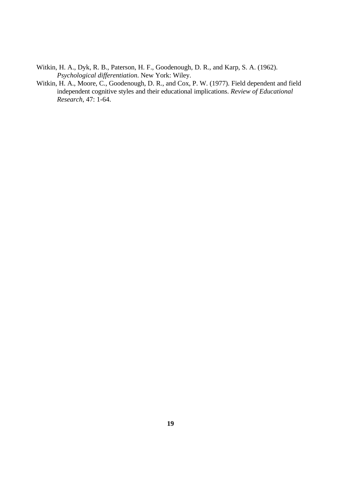- Witkin, H. A., Dyk, R. B., Paterson, H. F., Goodenough, D. R., and Karp, S. A. (1962). *Psychological differentiation*. New York: Wiley.
- Witkin, H. A., Moore, C., Goodenough, D. R., and Cox, P. W. (1977). Field dependent and field independent cognitive styles and their educational implications. *Review of Educational Research*, 47: 1-64.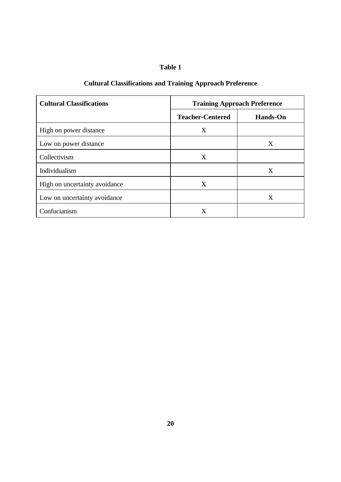## **Table 1**

# **Cultural Classifications and Training Approach Preference**

| <b>Cultural Classifications</b> | <b>Training Approach Preference</b> |                 |  |
|---------------------------------|-------------------------------------|-----------------|--|
|                                 | <b>Teacher-Centered</b>             | <b>Hands-On</b> |  |
| High on power distance          | X                                   |                 |  |
| Low on power distance           |                                     | X               |  |
| Collectivism                    | X                                   |                 |  |
| Individualism                   |                                     | X               |  |
| High on uncertainty avoidance   | X                                   |                 |  |
| Low on uncertainty avoidance    |                                     | X               |  |
| Confucianism                    | X                                   |                 |  |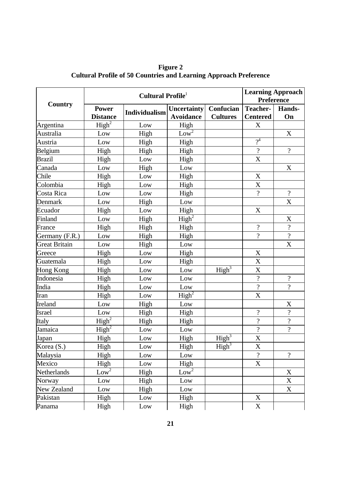| Country              | Cultural Profile <sup>1</sup>   |               |                                        |                              | <b>Learning Approach</b><br><b>Preference</b> |                          |
|----------------------|---------------------------------|---------------|----------------------------------------|------------------------------|-----------------------------------------------|--------------------------|
|                      | <b>Power</b><br><b>Distance</b> | Individualism | <b>Uncertainty</b><br><b>Avoidance</b> | Confucian<br><b>Cultures</b> | <b>Teacher-</b><br><b>Centered</b>            | Hands-<br>On             |
| Argentina            | $\overline{\text{High}^2}$      | Low           | High                                   |                              | X                                             |                          |
| Australia            | Low                             | High          | $\frac{1}{\text{Low}^2}$               |                              |                                               | X                        |
| Austria              | Low                             | High          | High                                   |                              | $\gamma^4$                                    |                          |
| Belgium              | High                            | High          | High                                   |                              | $\overline{?}$                                | $\gamma$                 |
| <b>Brazil</b>        | High                            | Low           | High                                   |                              | X                                             |                          |
| Canada               | Low                             | High          | Low                                    |                              |                                               | X                        |
| Chile                | High                            | Low           | High                                   |                              | X                                             |                          |
| Colombia             | High                            | Low           | High                                   |                              | X                                             |                          |
| Costa Rica           | Low                             | Low           | High                                   |                              | $\overline{\mathcal{L}}$                      | $\overline{\mathcal{L}}$ |
| Denmark              | Low                             | High          | Low                                    |                              |                                               | $\boldsymbol{X}$         |
| Ecuador              | High                            | Low           | High                                   |                              | $\mathbf X$                                   |                          |
| Finland              | Low                             | High          | $\overline{\text{High}^2}$             |                              |                                               | X                        |
| France               | High                            | High          | High                                   |                              | $\overline{\mathcal{L}}$                      | $\overline{\mathcal{C}}$ |
| Germany (F.R.)       | Low                             | High          | High                                   |                              | $\overline{?}$                                | $\overline{?}$           |
| <b>Great Britain</b> | Low                             | High          | Low                                    |                              |                                               | X                        |
| Greece               | High                            | Low           | High                                   |                              | $\mathbf X$                                   |                          |
| Guatemala            | High                            | Low           | High                                   |                              | X                                             |                          |
| Hong Kong            | High                            | Low           | Low                                    | High <sup>3</sup>            | $\overline{X}$                                |                          |
| Indonesia            | High                            | Low           | Low                                    |                              | $\overline{\mathcal{L}}$                      | $\overline{\mathcal{C}}$ |
| India                | High                            | Low           | Low                                    |                              | $\overline{\mathcal{L}}$                      | $\overline{?}$           |
| Iran                 | High                            | Low           | $\overline{\text{High}^2}$             |                              | X                                             |                          |
| Ireland              | Low                             | High          | Low                                    |                              |                                               | X                        |
| <b>Israel</b>        | Low                             | High          | High                                   |                              | $\overline{\mathcal{L}}$                      | $\overline{\mathcal{L}}$ |
| Italy                | $\overline{\text{High}^2}$      | High          | High                                   |                              | $\overline{\mathcal{L}}$                      | $\overline{?}$           |
| Jamaica              | $\overline{\text{High}^2}$      | Low           | Low                                    |                              | $\overline{?}$                                | $\overline{\mathcal{L}}$ |
| Japan                | High                            | Low           | High                                   | High <sup>3</sup>            | $\overline{X}$                                |                          |
| Korea (S.)           | High                            | Low           | High                                   | $\overline{\text{High}^3}$   | X                                             |                          |
| Malaysia             | High                            | Low           | Low                                    |                              | $\gamma$                                      | $\overline{\mathcal{L}}$ |
| Mexico               | High                            | Low           | High                                   |                              | X                                             |                          |
| <b>Netherlands</b>   | Low <sup>2</sup>                | High          | $Low^2$                                |                              |                                               | X                        |
| Norway               | Low                             | High          | Low                                    |                              |                                               | X                        |
| New Zealand          | Low                             | High          | Low                                    |                              |                                               | $\mathbf X$              |
| Pakistan             | High                            | Low           | High                                   |                              | X                                             |                          |
| Panama               | High                            | Low           | High                                   |                              | X                                             |                          |

**Figure 2 Cultural Profile of 50 Countries and Learning Approach Preference**